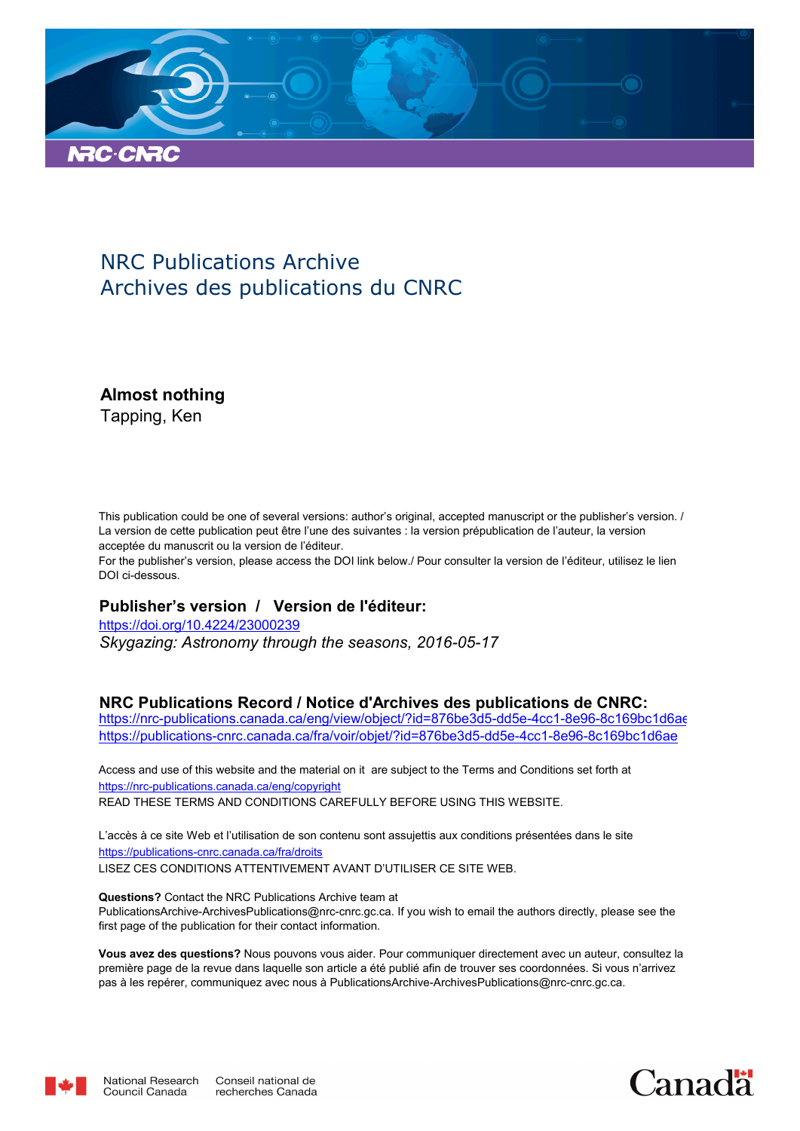

## NRC Publications Archive Archives des publications du CNRC

**Almost nothing**

Tapping, Ken

This publication could be one of several versions: author's original, accepted manuscript or the publisher's version. / La version de cette publication peut être l'une des suivantes : la version prépublication de l'auteur, la version acceptée du manuscrit ou la version de l'éditeur.

For the publisher's version, please access the DOI link below./ Pour consulter la version de l'éditeur, utilisez le lien DOI ci-dessous.

#### **Publisher's version / Version de l'éditeur:**

*Skygazing: Astronomy through the seasons, 2016-05-17* https://doi.org/10.4224/23000239

#### **NRC Publications Record / Notice d'Archives des publications de CNRC:**

https://nrc-publications.canada.ca/eng/view/object/?id=876be3d5-dd5e-4cc1-8e96-8c169bc1d6ae https://publications-cnrc.canada.ca/fra/voir/objet/?id=876be3d5-dd5e-4cc1-8e96-8c169bc1d6ae

READ THESE TERMS AND CONDITIONS CAREFULLY BEFORE USING THIS WEBSITE. https://nrc-publications.canada.ca/eng/copyright Access and use of this website and the material on it are subject to the Terms and Conditions set forth at

https://publications-cnrc.canada.ca/fra/droits L'accès à ce site Web et l'utilisation de son contenu sont assujettis aux conditions présentées dans le site LISEZ CES CONDITIONS ATTENTIVEMENT AVANT D'UTILISER CE SITE WEB.

**Questions?** Contact the NRC Publications Archive team at PublicationsArchive-ArchivesPublications@nrc-cnrc.gc.ca. If you wish to email the authors directly, please see the first page of the publication for their contact information.

**Vous avez des questions?** Nous pouvons vous aider. Pour communiquer directement avec un auteur, consultez la première page de la revue dans laquelle son article a été publié afin de trouver ses coordonnées. Si vous n'arrivez pas à les repérer, communiquez avec nous à PublicationsArchive-ArchivesPublications@nrc-cnrc.gc.ca.